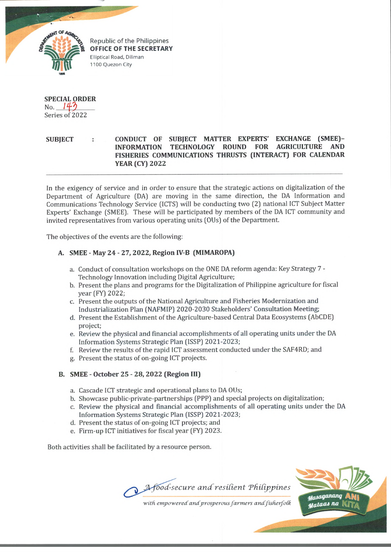

Republic of the Philippines OFFICE OF THE SECRETARY Elliptical Road, Diliman 1100 Quezon City

**SPECIAL ORDER**  $No. 147$ Series of 2022

## **SUBJECT : CONDUCT OF SUBJECT MATTER EXPERTS' EXCHANGE (SMEE)- INFORMATION TECHNOLOGY ROUND FOR AGRICULTURE AND FISHERIES COMMUNICATIONS THRUSTS (INTERACT) FOR CALENDAR YEAR (CY) 2022**

In the exigency of service and in order to ensure that the strategic actions on digitalization of the Department of Agriculture (DA) are moving in the same direction, the DA Information and Communications Technology Service (ICTS) will be conducting two (2) national ICT Subject Matter Experts' Exchange (SMEE). These will be participated by members of the DA ICT community and invited representatives from various operating units (OUs) of the Department.

The objectives of the events are the following:

## **A. SMEE - May 24 - 27, 2022, Region IV-B (MIMAROPA)**

- a. Conduct of consultation workshops on the ONE DA reform agenda: Key Strategy 7 Technology Innovation including Digital Agriculture;
- b. Present the plans and programs for the Digitalization of Philippine agriculture for fiscal year (FY) 2022;
- c. Present the outputs of the National Agriculture and Fisheries Modernization and Industrialization Plan (NAFMIP) 2020-2030 Stakeholders' Consultation Meeting;
- d. Present the Establishment of the Agriculture-based Central Data Ecosystems (AbCDE) project;
- e. Review the physical and financial accomplishments of all operating units under the DA Information Systems Strategic Plan (ISSP) 2021-2023;
- f. Review the results of the rapid ICT assessment conducted under the SAF4RD; and
- g. Present the status of on-going ICT projects.

## **B. SMEE - October 25 - 28, 2022 (Region III)**

- a. Cascade ICT strategic and operational plans to DA OUs;
- b. Showcase public-private-partnerships (PPP) and special projects on digitalization;
- c. Review the physical and financial accomplishments of all operating units under the DA Information Systems Strategic Plan (ISSP) 2021-2023;
- d. Present the status of on-going ICT projects; and
- e. Firm-up ICT initiatives for fiscal year (FY) 2023.

Both activities shall be facilitated by a resource person.





with empowered and prosperous farmers and fisherfolk